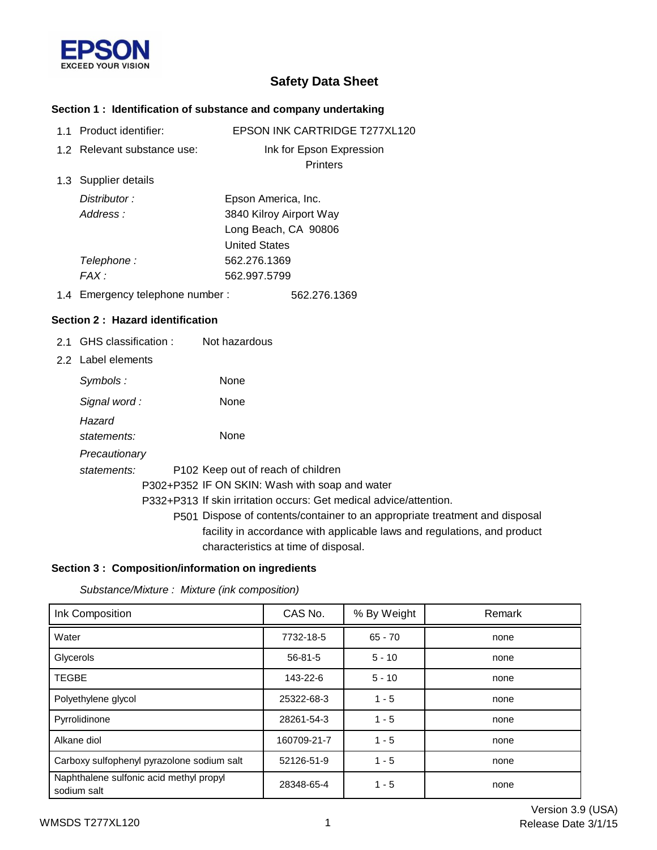

# **Safety Data Sheet**

# **Section 1 : Identification of substance and company undertaking**

| 1.1 Product identifier:          | EPSON INK CARTRIDGE T277XL120                                               |
|----------------------------------|-----------------------------------------------------------------------------|
| 1.2 Relevant substance use:      | Ink for Epson Expression                                                    |
|                                  | Printers                                                                    |
| 1.3 Supplier details             |                                                                             |
| Distributor:                     | Epson America, Inc.                                                         |
| Address:                         | 3840 Kilroy Airport Way                                                     |
|                                  | Long Beach, CA 90806                                                        |
|                                  | <b>United States</b>                                                        |
| Telephone:                       | 562.276.1369                                                                |
| FAX:                             | 562.997.5799                                                                |
| 1.4 Emergency telephone number:  | 562.276.1369                                                                |
| Section 2: Hazard identification |                                                                             |
| 2.1 GHS classification :         | Not hazardous                                                               |
| 2.2 Label elements               |                                                                             |
| Symbols:                         | None                                                                        |
| Signal word:                     | None                                                                        |
| Hazard                           |                                                                             |
| statements:                      | None                                                                        |
| Precautionary                    |                                                                             |
| statements:                      | P102 Keep out of reach of children                                          |
|                                  | P302+P352 IF ON SKIN: Wash with soap and water                              |
|                                  | P332+P313 If skin irritation occurs: Get medical advice/attention.          |
|                                  | P501 Dispose of contents/container to an appropriate treatment and disposal |
|                                  | facility in accordance with applicable laws and regulations, and product    |
|                                  | characteristics at time of disposal.                                        |

# **Section 3 : Composition/information on ingredients**

*Substance/Mixture : Mixture (ink composition)*

| Ink Composition                                        | CAS No.     | % By Weight | Remark |
|--------------------------------------------------------|-------------|-------------|--------|
| Water                                                  | 7732-18-5   | $65 - 70$   | none   |
| Glycerols                                              | 56-81-5     | $5 - 10$    | none   |
| <b>TEGBE</b>                                           | 143-22-6    | $5 - 10$    | none   |
| Polyethylene glycol                                    | 25322-68-3  | $1 - 5$     | none   |
| Pyrrolidinone                                          | 28261-54-3  | $1 - 5$     | none   |
| Alkane diol                                            | 160709-21-7 | $1 - 5$     | none   |
| Carboxy sulfophenyl pyrazolone sodium salt             | 52126-51-9  | $1 - 5$     | none   |
| Naphthalene sulfonic acid methyl propyl<br>sodium salt | 28348-65-4  | $1 - 5$     | none   |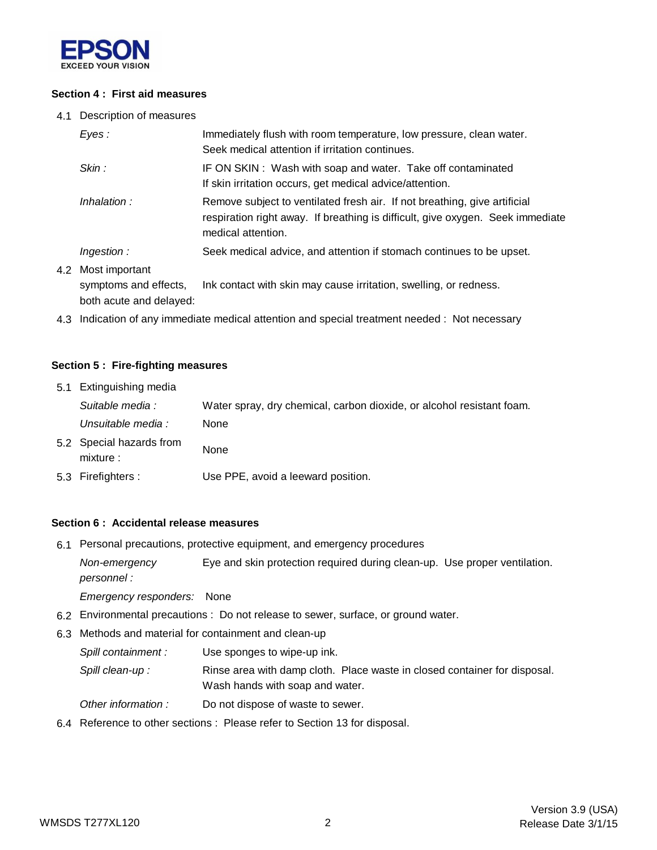

#### **Section 4 : First aid measures**

4.1 Description of measures

| Eyes:                                   | Immediately flush with room temperature, low pressure, clean water.<br>Seek medical attention if irritation continues.                                                            |  |
|-----------------------------------------|-----------------------------------------------------------------------------------------------------------------------------------------------------------------------------------|--|
| Skin :                                  | IF ON SKIN: Wash with soap and water. Take off contaminated<br>If skin irritation occurs, get medical advice/attention.                                                           |  |
| Inhalation:                             | Remove subject to ventilated fresh air. If not breathing, give artificial<br>respiration right away. If breathing is difficult, give oxygen. Seek immediate<br>medical attention. |  |
| Ingestion:                              | Seek medical advice, and attention if stomach continues to be upset.                                                                                                              |  |
| Most important<br>symptoms and effects, | Ink contact with skin may cause irritation, swelling, or redness.                                                                                                                 |  |

both acute and delayed:

4.2

4.3 Indication of any immediate medical attention and special treatment needed : Not necessary

#### **Section 5 : Fire-fighting measures**

| 5.1 Extinguishing media               |                                                                       |
|---------------------------------------|-----------------------------------------------------------------------|
| Suitable media :                      | Water spray, dry chemical, carbon dioxide, or alcohol resistant foam. |
| Unsuitable media :                    | <b>None</b>                                                           |
| 5.2 Special hazards from<br>mixture : | None                                                                  |
| 5.3 Firefighters :                    | Use PPE, avoid a leeward position.                                    |

#### **Section 6 : Accidental release measures**

6.1 Personal precautions, protective equipment, and emergency procedures

*Non-emergency* Eye and skin protection required during clean-up. Use proper ventilation. *personnel :*

*Emergency responders:* None

- 6.2 Environmental precautions : Do not release to sewer, surface, or ground water.
- 6.3 Methods and material for containment and clean-up

*Spill containment :* Use sponges to wipe-up ink.

Spill clean-up : Rinse area with damp cloth. Place waste in closed container for disposal. Wash hands with soap and water.

- *Other information :* Do not dispose of waste to sewer.
- 6.4 Reference to other sections : Please refer to Section 13 for disposal.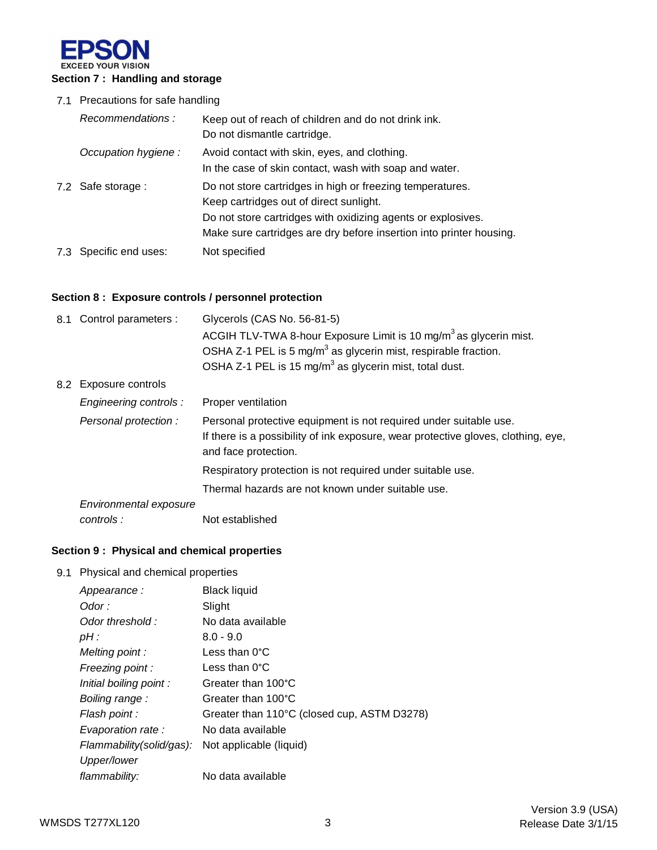

### 7.1 Precautions for safe handling

| Recommendations:       | Keep out of reach of children and do not drink ink.<br>Do not dismantle cartridge.                                                                                                                                                          |
|------------------------|---------------------------------------------------------------------------------------------------------------------------------------------------------------------------------------------------------------------------------------------|
| Occupation hygiene:    | Avoid contact with skin, eyes, and clothing.<br>In the case of skin contact, wash with soap and water.                                                                                                                                      |
| 7.2 Safe storage :     | Do not store cartridges in high or freezing temperatures.<br>Keep cartridges out of direct sunlight.<br>Do not store cartridges with oxidizing agents or explosives.<br>Make sure cartridges are dry before insertion into printer housing. |
| 7.3 Specific end uses: | Not specified                                                                                                                                                                                                                               |

# **Section 8 : Exposure controls / personnel protection**

| 8.1 Control parameters : | Glycerols (CAS No. 56-81-5)                                                                               |
|--------------------------|-----------------------------------------------------------------------------------------------------------|
|                          | ACGIH TLV-TWA 8-hour Exposure Limit is 10 mg/m <sup>3</sup> as glycerin mist.                             |
|                          | OSHA Z-1 PEL is 5 mg/m <sup>3</sup> as glycerin mist, respirable fraction.                                |
|                          | OSHA Z-1 PEL is 15 mg/m <sup>3</sup> as glycerin mist, total dust.                                        |
| 8.2 Exposure controls    |                                                                                                           |
| Engineering controls:    | Proper ventilation                                                                                        |
| Personal protection :    | Personal protective equipment is not required under suitable use.                                         |
|                          | If there is a possibility of ink exposure, wear protective gloves, clothing, eye,<br>and face protection. |
|                          | Respiratory protection is not required under suitable use.                                                |
|                          | Thermal hazards are not known under suitable use.                                                         |
| Environmental exposure   |                                                                                                           |
| controls:                | Not established                                                                                           |

# **Section 9 : Physical and chemical properties**

#### 9.1 Physical and chemical properties

| Appearance:              | <b>Black liquid</b>                         |
|--------------------------|---------------------------------------------|
| Odor :                   | Slight                                      |
| Odor threshold:          | No data available                           |
| $pH$ :                   | $8.0 - 9.0$                                 |
| Melting point:           | Less than 0°C                               |
| Freezing point :         | Less than $0^{\circ}$ C                     |
| Initial boiling point:   | Greater than 100°C                          |
| Boiling range:           | Greater than 100°C                          |
| Flash point :            | Greater than 110°C (closed cup, ASTM D3278) |
| Evaporation rate:        | No data available                           |
| Flammability(solid/gas): | Not applicable (liquid)                     |
| Upper/lower              |                                             |
| flammability:            | No data available                           |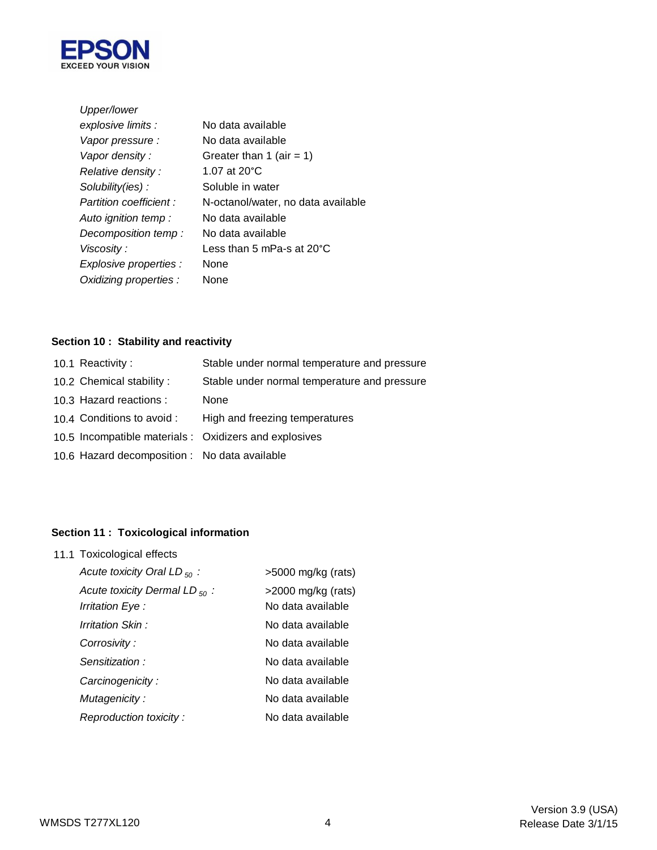

| No data available                    |
|--------------------------------------|
| No data available                    |
| Greater than 1 (air = 1)             |
| 1.07 at $20^{\circ}$ C               |
| Soluble in water                     |
| N-octanol/water, no data available   |
| No data available                    |
| No data available                    |
| Less than 5 mPa-s at 20 $^{\circ}$ C |
| <b>None</b>                          |
| None                                 |
|                                      |

# **Section 10 : Stability and reactivity**

| 10.1 Reactivity:                              | Stable under normal temperature and pressure           |
|-----------------------------------------------|--------------------------------------------------------|
| 10.2 Chemical stability:                      | Stable under normal temperature and pressure           |
| 10.3 Hazard reactions :                       | None                                                   |
| 10.4 Conditions to avoid :                    | High and freezing temperatures                         |
|                                               | 10.5 Incompatible materials : Oxidizers and explosives |
| 10.6 Hazard decomposition : No data available |                                                        |
|                                               |                                                        |

# **Section 11 : Toxicological information**

| 11.1 Toxicological effects                                    |                                            |  |  |
|---------------------------------------------------------------|--------------------------------------------|--|--|
| Acute toxicity Oral LD $_{50}$ :                              | $>5000$ mg/kg (rats)                       |  |  |
| Acute toxicity Dermal LD $_{50}$ :<br><i>Irritation Eye :</i> | $>$ 2000 mg/kg (rats)<br>No data available |  |  |
| Irritation Skin :                                             | No data available                          |  |  |
| Corrosivity :                                                 | No data available                          |  |  |
| Sensitization:                                                | No data available                          |  |  |
| Carcinogenicity:                                              | No data available                          |  |  |
| Mutagenicity:                                                 | No data available                          |  |  |
| Reproduction toxicity:                                        | No data available                          |  |  |
|                                                               |                                            |  |  |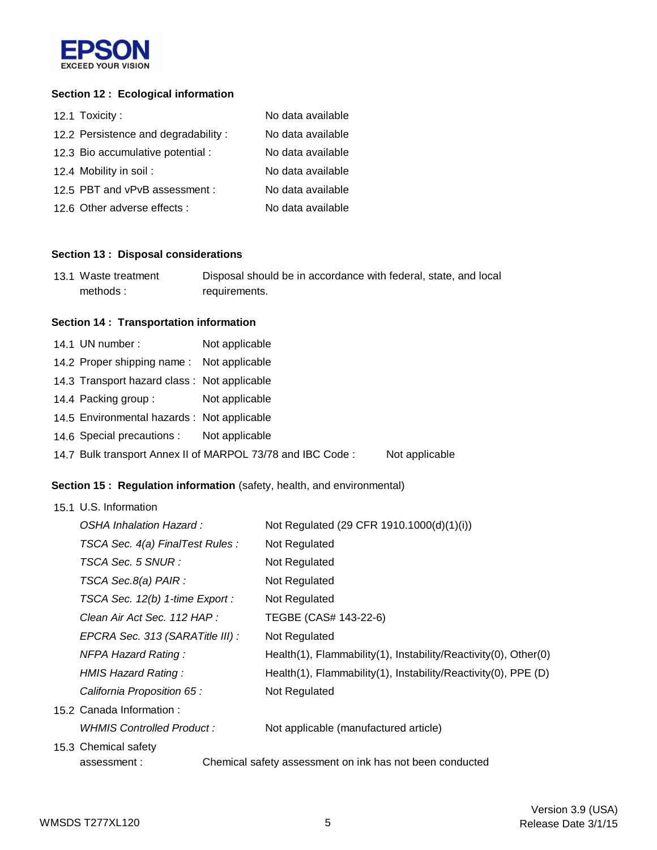

### **Section 12 : Ecological information**

| 12.1 Toxicity:                      | No data available |
|-------------------------------------|-------------------|
| 12.2 Persistence and degradability: | No data available |
| 12.3 Bio accumulative potential :   | No data available |
| 12.4 Mobility in soil:              | No data available |
| 12.5 PBT and vPvB assessment :      | No data available |
| 12.6 Other adverse effects :        | No data available |

### **Section 13 : Disposal considerations**

| 13.1 Waste treatment | Disposal should be in accordance with federal, state, and local |
|----------------------|-----------------------------------------------------------------|
| methods:             | requirements.                                                   |

# **Section 14 : Transportation information**

| 14.1 UN number:                             | Not applicable                                             |                |
|---------------------------------------------|------------------------------------------------------------|----------------|
| 14.2 Proper shipping name: Not applicable   |                                                            |                |
| 14.3 Transport hazard class: Not applicable |                                                            |                |
| 14.4 Packing group :                        | Not applicable                                             |                |
| 14.5 Environmental hazards : Not applicable |                                                            |                |
| 14.6 Special precautions : Not applicable   |                                                            |                |
|                                             | 14.7 Bulk transport Annex II of MARPOL 73/78 and IBC Code: | Not applicable |
|                                             |                                                            |                |

### **Section 15 : Regulation information** (safety, health, and environmental)

#### 15.1 U.S. Information

| OSHA Inhalation Hazard :                                                | Not Regulated (29 CFR 1910.1000(d)(1)(i))                       |  |
|-------------------------------------------------------------------------|-----------------------------------------------------------------|--|
| TSCA Sec. 4(a) FinalTest Rules :                                        | Not Regulated                                                   |  |
| TSCA Sec. 5 SNUR :                                                      | Not Regulated                                                   |  |
| TSCA Sec.8(a) PAIR :                                                    | Not Regulated                                                   |  |
| TSCA Sec. 12(b) 1-time Export :                                         | Not Regulated                                                   |  |
| Clean Air Act Sec. 112 HAP :                                            | TEGBE (CAS# 143-22-6)                                           |  |
| EPCRA Sec. 313 (SARATitle III) :                                        | Not Regulated                                                   |  |
| <b>NFPA Hazard Rating:</b>                                              | Health(1), Flammability(1), Instability/Reactivity(0), Other(0) |  |
| HMIS Hazard Rating:                                                     | Health(1), Flammability(1), Instability/Reactivity(0), PPE (D)  |  |
| California Proposition 65 :                                             | Not Regulated                                                   |  |
| 15.2 Canada Information:                                                |                                                                 |  |
| WHMIS Controlled Product :                                              | Not applicable (manufactured article)                           |  |
| 15.3 Chemical safety                                                    |                                                                 |  |
| Chemical safety assessment on ink has not been conducted<br>assessment: |                                                                 |  |